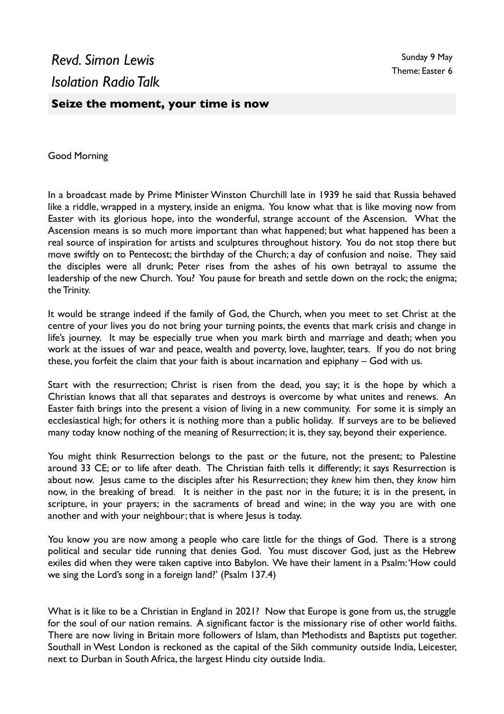## **Seize the moment, your time is now**

Good Morning

In a broadcast made by Prime Minister Winston Churchill late in 1939 he said that Russia behaved like a riddle, wrapped in a mystery, inside an enigma. You know what that is like moving now from Easter with its glorious hope, into the wonderful, strange account of the Ascension. What the Ascension means is so much more important than what happened; but what happened has been a real source of inspiration for artists and sculptures throughout history. You do not stop there but move swiftly on to Pentecost; the birthday of the Church; a day of confusion and noise. They said the disciples were all drunk; Peter rises from the ashes of his own betrayal to assume the leadership of the new Church. You? You pause for breath and settle down on the rock; the enigma; the Trinity.

It would be strange indeed if the family of God, the Church, when you meet to set Christ at the centre of your lives you do not bring your turning points, the events that mark crisis and change in life's journey. It may be especially true when you mark birth and marriage and death; when you work at the issues of war and peace, wealth and poverty, love, laughter, tears. If you do not bring these, you forfeit the claim that your faith is about incarnation and epiphany – God with us.

Start with the resurrection; Christ is risen from the dead, you say; it is the hope by which a Christian knows that all that separates and destroys is overcome by what unites and renews. An Easter faith brings into the present a vision of living in a new community. For some it is simply an ecclesiastical high; for others it is nothing more than a public holiday. If surveys are to be believed many today know nothing of the meaning of Resurrection; it is, they say, beyond their experience.

You might think Resurrection belongs to the past or the future, not the present; to Palestine around 33 CE; or to life after death. The Christian faith tells it differently; it says Resurrection is about now. Jesus came to the disciples after his Resurrection; they *knew* him then, they *know* him now, in the breaking of bread. It is neither in the past nor in the future; it is in the present, in scripture, in your prayers; in the sacraments of bread and wine; in the way you are with one another and with your neighbour; that is where Jesus is today.

You know you are now among a people who care little for the things of God. There is a strong political and secular tide running that denies God. You must discover God, just as the Hebrew exiles did when they were taken captive into Babylon. We have their lament in a Psalm: 'How could we sing the Lord's song in a foreign land?' (Psalm 137.4)

What is it like to be a Christian in England in 2021? Now that Europe is gone from us, the struggle for the soul of our nation remains. A significant factor is the missionary rise of other world faiths. There are now living in Britain more followers of Islam, than Methodists and Baptists put together. Southall in West London is reckoned as the capital of the Sikh community outside India, Leicester, next to Durban in South Africa, the largest Hindu city outside India.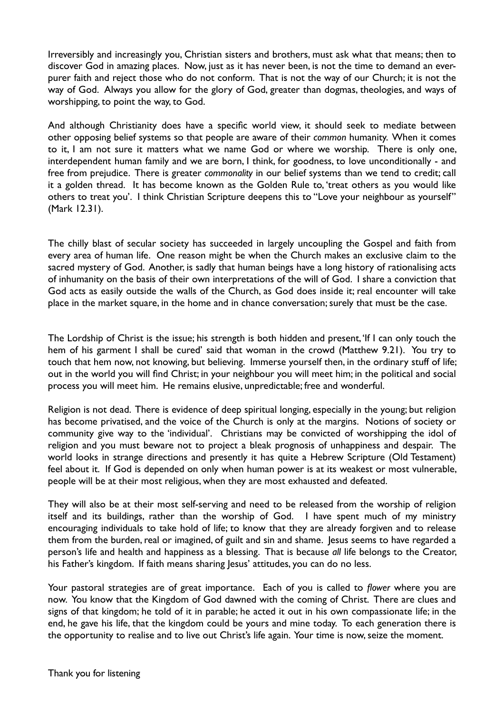Irreversibly and increasingly you, Christian sisters and brothers, must ask what that means; then to discover God in amazing places. Now, just as it has never been, is not the time to demand an everpurer faith and reject those who do not conform. That is not the way of our Church; it is not the way of God. Always you allow for the glory of God, greater than dogmas, theologies, and ways of worshipping, to point the way, to God.

And although Christianity does have a specific world view, it should seek to mediate between other opposing belief systems so that people are aware of their *common* humanity. When it comes to it, I am not sure it matters what we name God or where we worship. There is only one, interdependent human family and we are born, I think, for goodness, to love unconditionally - and free from prejudice. There is greater *commonality* in our belief systems than we tend to credit; call it a golden thread. It has become known as the Golden Rule to, 'treat others as you would like others to treat you'. I think Christian Scripture deepens this to "Love your neighbour as yourself" (Mark 12.31).

The chilly blast of secular society has succeeded in largely uncoupling the Gospel and faith from every area of human life. One reason might be when the Church makes an exclusive claim to the sacred mystery of God. Another, is sadly that human beings have a long history of rationalising acts of inhumanity on the basis of their own interpretations of the will of God. I share a conviction that God acts as easily outside the walls of the Church, as God does inside it; real encounter will take place in the market square, in the home and in chance conversation; surely that must be the case.

The Lordship of Christ is the issue; his strength is both hidden and present, 'If I can only touch the hem of his garment I shall be cured' said that woman in the crowd (Matthew 9.21). You try to touch that hem now, not knowing, but believing. Immerse yourself then, in the ordinary stuff of life; out in the world you will find Christ; in your neighbour you will meet him; in the political and social process you will meet him. He remains elusive, unpredictable; free and wonderful.

Religion is not dead. There is evidence of deep spiritual longing, especially in the young; but religion has become privatised, and the voice of the Church is only at the margins. Notions of society or community give way to the 'individual'. Christians may be convicted of worshipping the idol of religion and you must beware not to project a bleak prognosis of unhappiness and despair. The world looks in strange directions and presently it has quite a Hebrew Scripture (Old Testament) feel about it. If God is depended on only when human power is at its weakest or most vulnerable, people will be at their most religious, when they are most exhausted and defeated.

They will also be at their most self-serving and need to be released from the worship of religion itself and its buildings, rather than the worship of God. I have spent much of my ministry encouraging individuals to take hold of life; to know that they are already forgiven and to release them from the burden, real or imagined, of guilt and sin and shame. Jesus seems to have regarded a person's life and health and happiness as a blessing. That is because *all* life belongs to the Creator, his Father's kingdom. If faith means sharing Jesus' attitudes, you can do no less.

Your pastoral strategies are of great importance. Each of you is called to *flower* where you are now. You know that the Kingdom of God dawned with the coming of Christ. There are clues and signs of that kingdom; he told of it in parable; he acted it out in his own compassionate life; in the end, he gave his life, that the kingdom could be yours and mine today. To each generation there is the opportunity to realise and to live out Christ's life again. Your time is now, seize the moment.